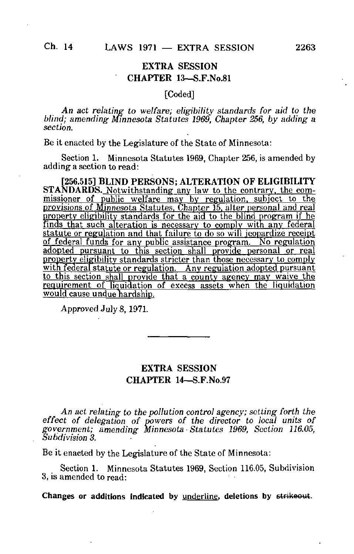## EXTRA SESSION CHAPTER 13—S.F.No.81

## [Coded]

An act relating to welfare; eligibility standards for aid to the blind; amending Minnesota Statutes 1969, Chapter 256, by adding a sect/on.

Be it enacted by the Legislature of the State of Minnesota:

Section 1. Minnesota Statutes 1969, Chapter 256, is amended by adding a section to read:

[256.515] BLIND PERSONS; ALTERATION OF ELIGIBILITY STANDARDS. Notwithstanding any law to the contrary, the commissioner of public welfare may by regulation, subject to the provisions of Minnesota Statutes. Chapter 15. alter personal and real property eligibility standards for the aid to the blind program if he finds that such alteration is necessary to comply with any federal statute or regulation and that failure to do so will jeopardize receipt of federal funds for any public assistance program. No regulation adopted pursuant to this section shall provide personal or real property eligibility standards stricter than those necessary to comply with federal statute or regulation. Any regulation adopted pursuant to this section shall provide that a county agency mav waive the requirement of liquidation of excess assets when the liquidation would cause undue hardship.

Approved July 8,1971.

## EXTRA SESSION CHAPTER 14—S.F.No.97

An act relating to the pollution control agency; setting forth the effect of delegation of powers of the director to local units of government; amending Minnesota • Statutes 1969, Section 116.05, Subdivision 3.

Be it enacted by the Legislature of the State of Minnesota:

Section 1. Minnesota Statutes 1969, Section 116.05, Subdivision 3, is amended to read:

Changes or additions indicated by underline, deletions by strikeout.